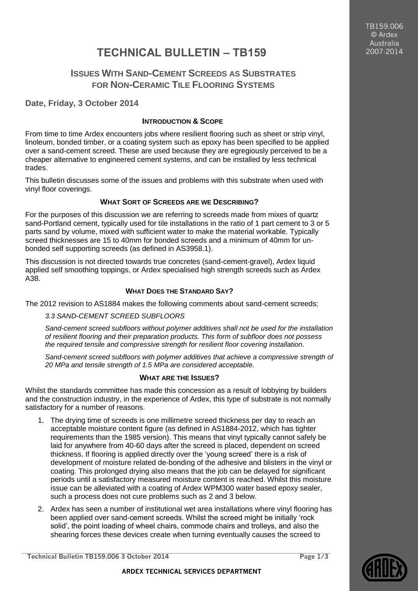TB159.006 © Ardex Australia 2007-2014

# **TECHNICAL BULLETIN – TB159**

## **ISSUES WITH SAND-CEMENT SCREEDS AS SUBSTRATES FOR NON-CERAMIC TILE FLOORING SYSTEMS**

## **Date, Friday, 3 October 2014**

## **INTRODUCTION & SCOPE**

From time to time Ardex encounters jobs where resilient flooring such as sheet or strip vinyl, linoleum, bonded timber, or a coating system such as epoxy has been specified to be applied over a sand-cement screed. These are used because they are egregiously perceived to be a cheaper alternative to engineered cement systems, and can be installed by less technical trades.

This bulletin discusses some of the issues and problems with this substrate when used with vinyl floor coverings.

## **WHAT SORT OF SCREEDS ARE WE DESCRIBING?**

For the purposes of this discussion we are referring to screeds made from mixes of quartz sand-Portland cement, typically used for tile installations in the ratio of 1 part cement to 3 or 5 parts sand by volume, mixed with sufficient water to make the material workable. Typically screed thicknesses are 15 to 40mm for bonded screeds and a minimum of 40mm for unbonded self supporting screeds (as defined in AS3958.1).

This discussion is not directed towards true concretes (sand-cement-gravel), Ardex liquid applied self smoothing toppings, or Ardex specialised high strength screeds such as Ardex A38.

## **WHAT DOES THE STANDARD SAY?**

The 2012 revision to AS1884 makes the following comments about sand-cement screeds;

## *3.3 SAND-CEMENT SCREED SUBFLOORS*

*Sand-cement screed subfloors without polymer additives shall not be used for the installation of resilient flooring and their preparation products. This form of subfloor does not possess the required tensile and compressive strength for resilient floor covering installation.*

Sand-cement screed subfloors with polymer additives that achieve a compressive strength of *20 MPa and tensile strength of 1.5 MPa are considered acceptable.*

## **WHAT ARE THE ISSUES?**

Whilst the standards committee has made this concession as a result of lobbying by builders and the construction industry, in the experience of Ardex, this type of substrate is not normally satisfactory for a number of reasons.

- 1. The drying time of screeds is one millimetre screed thickness per day to reach an acceptable moisture content figure (as defined in AS1884-2012, which has tighter requirements than the 1985 version). This means that vinyl typically cannot safely be laid for anywhere from 40-60 days after the screed is placed, dependent on screed thickness. If flooring is applied directly over the 'young screed' there is a risk of development of moisture related de-bonding of the adhesive and blisters in the vinyl or coating. This prolonged drying also means that the job can be delayed for significant periods until a satisfactory measured moisture content is reached. Whilst this moisture issue can be alleviated with a coating of Ardex WPM300 water based epoxy sealer, such a process does not cure problems such as 2 and 3 below.
- 2. Ardex has seen a number of institutional wet area installations where vinyl flooring has been applied over sand-cement screeds. Whilst the screed might be initially 'rock solid', the point loading of wheel chairs, commode chairs and trolleys, and also the shearing forces these devices create when turning eventually causes the screed to

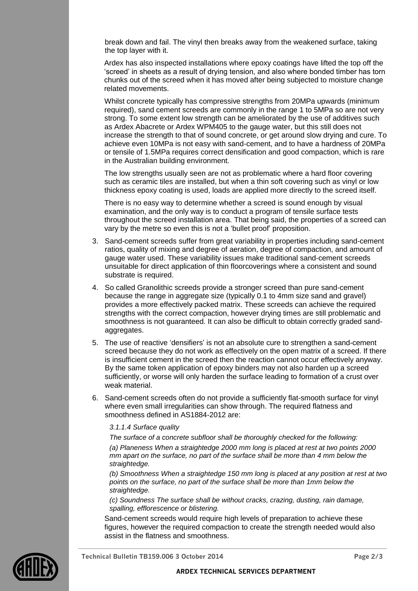break down and fail. The vinyl then breaks away from the weakened surface, taking the top layer with it.

Ardex has also inspected installations where epoxy coatings have lifted the top off the 'screed' in sheets as a result of drying tension, and also where bonded timber has torn chunks out of the screed when it has moved after being subjected to moisture change related movements.

Whilst concrete typically has compressive strengths from 20MPa upwards (minimum required), sand cement screeds are commonly in the range 1 to 5MPa so are not very strong. To some extent low strength can be ameliorated by the use of additives such as Ardex Abacrete or Ardex WPM405 to the gauge water, but this still does not increase the strength to that of sound concrete, or get around slow drying and cure. To achieve even 10MPa is not easy with sand-cement, and to have a hardness of 20MPa or tensile of 1.5MPa requires correct densification and good compaction, which is rare in the Australian building environment.

The low strengths usually seen are not as problematic where a hard floor covering such as ceramic tiles are installed, but when a thin soft covering such as vinyl or low thickness epoxy coating is used, loads are applied more directly to the screed itself.

There is no easy way to determine whether a screed is sound enough by visual examination, and the only way is to conduct a program of tensile surface tests throughout the screed installation area. That being said, the properties of a screed can vary by the metre so even this is not a 'bullet proof' proposition.

- 3. Sand-cement screeds suffer from great variability in properties including sand-cement ratios, quality of mixing and degree of aeration, degree of compaction, and amount of gauge water used. These variability issues make traditional sand-cement screeds unsuitable for direct application of thin floorcoverings where a consistent and sound substrate is required.
- 4. So called Granolithic screeds provide a stronger screed than pure sand-cement because the range in aggregate size (typically 0.1 to 4mm size sand and gravel) provides a more effectively packed matrix. These screeds can achieve the required strengths with the correct compaction, however drying times are still problematic and smoothness is not guaranteed. It can also be difficult to obtain correctly graded sandaggregates.
- 5. The use of reactive 'densifiers' is not an absolute cure to strengthen a sand-cement screed because they do not work as effectively on the open matrix of a screed. If there is insufficient cement in the screed then the reaction cannot occur effectively anyway. By the same token application of epoxy binders may not also harden up a screed sufficiently, or worse will only harden the surface leading to formation of a crust over weak material.
- 6. Sand-cement screeds often do not provide a sufficiently flat-smooth surface for vinyl where even small irregularities can show through. The required flatness and smoothness defined in AS1884-2012 are:

#### *3.1.1.4 Surface quality*

*The surface of a concrete subfloor shall be thoroughly checked for the following:*

*(a) Planeness When a straightedge 2000 mm long is placed at rest at two points 2000 mm apart on the surface, no part of the surface shall be more than 4 mm below the straightedge.*

*(b) Smoothness When a straightedge 150 mm long is placed at any position at rest at two points on the surface, no part of the surface shall be more than 1mm below the straightedge.*

*(c) Soundness The surface shall be without cracks, crazing, dusting, rain damage, spalling, efflorescence or blistering.*

Sand-cement screeds would require high levels of preparation to achieve these figures, however the required compaction to create the strength needed would also assist in the flatness and smoothness.



**Technical Bulletin TB159.006 3 October 2014 Page 2/3**